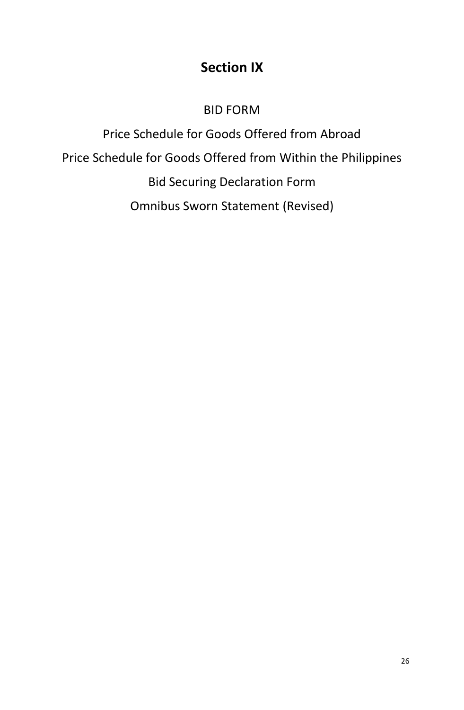# **Section IX**

## BID FORM

Price Schedule for Goods Offered from Abroad Price Schedule for Goods Offered from Within the Philippines Bid Securing Declaration Form Omnibus Sworn Statement (Revised)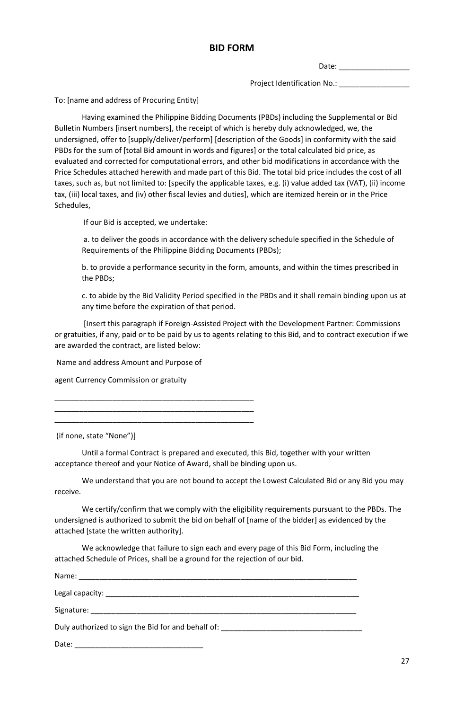Date:  $\Box$ 

Project Identification No.:

To: [name and address of Procuring Entity]

Having examined the Philippine Bidding Documents (PBDs) including the Supplemental or Bid Bulletin Numbers [insert numbers], the receipt of which is hereby duly acknowledged, we, the undersigned, offer to [supply/deliver/perform] [description of the Goods] in conformity with the said PBDs for the sum of [total Bid amount in words and figures] or the total calculated bid price, as evaluated and corrected for computational errors, and other bid modifications in accordance with the Price Schedules attached herewith and made part of this Bid. The total bid price includes the cost of all taxes, such as, but not limited to: [specify the applicable taxes, e.g. (i) value added tax (VAT), (ii) income tax, (iii) local taxes, and (iv) other fiscal levies and duties], which are itemized herein or in the Price Schedules,

If our Bid is accepted, we undertake:

a. to deliver the goods in accordance with the delivery schedule specified in the Schedule of Requirements of the Philippine Bidding Documents (PBDs);

b. to provide a performance security in the form, amounts, and within the times prescribed in the PBDs;

c. to abide by the Bid Validity Period specified in the PBDs and it shall remain binding upon us at any time before the expiration of that period.

[Insert this paragraph if Foreign-Assisted Project with the Development Partner: Commissions or gratuities, if any, paid or to be paid by us to agents relating to this Bid, and to contract execution if we are awarded the contract, are listed below:

Name and address Amount and Purpose of

\_\_\_\_\_\_\_\_\_\_\_\_\_\_\_\_\_\_\_\_\_\_\_\_\_\_\_\_\_\_\_\_\_\_\_\_\_\_\_\_\_\_\_\_\_\_\_\_ \_\_\_\_\_\_\_\_\_\_\_\_\_\_\_\_\_\_\_\_\_\_\_\_\_\_\_\_\_\_\_\_\_\_\_\_\_\_\_\_\_\_\_\_\_\_\_\_ \_\_\_\_\_\_\_\_\_\_\_\_\_\_\_\_\_\_\_\_\_\_\_\_\_\_\_\_\_\_\_\_\_\_\_\_\_\_\_\_\_\_\_\_\_\_\_\_

agent Currency Commission or gratuity

(if none, state "None")]

Until a formal Contract is prepared and executed, this Bid, together with your written acceptance thereof and your Notice of Award, shall be binding upon us.

We understand that you are not bound to accept the Lowest Calculated Bid or any Bid you may receive.

We certify/confirm that we comply with the eligibility requirements pursuant to the PBDs. The undersigned is authorized to submit the bid on behalf of [name of the bidder] as evidenced by the attached [state the written authority].

We acknowledge that failure to sign each and every page of this Bid Form, including the attached Schedule of Prices, shall be a ground for the rejection of our bid.

| Duly authorized to sign the Bid for and behalf of: _____________________________ |  |
|----------------------------------------------------------------------------------|--|
| Date:                                                                            |  |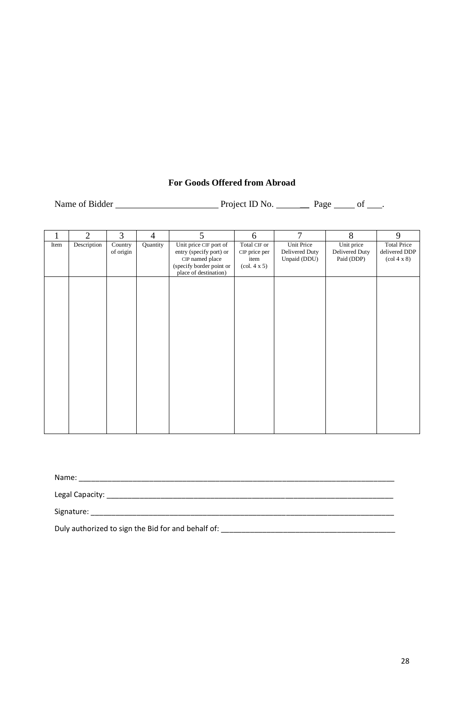## **For Goods Offered from Abroad**

| Name of Bidder | Project ID No. | Page |  |
|----------------|----------------|------|--|
|                |                |      |  |

| 1    | $\overline{2}$ | 3                    | $\overline{4}$ | 5                                                                                                                         | 6                                                                               | 7                                            | 8                                          | 9                                                                            |
|------|----------------|----------------------|----------------|---------------------------------------------------------------------------------------------------------------------------|---------------------------------------------------------------------------------|----------------------------------------------|--------------------------------------------|------------------------------------------------------------------------------|
| Item | Description    | Country<br>of origin | Quantity       | Unit price CIF port of<br>entry (specify port) or<br>CIP named place<br>(specify border point or<br>place of destination) | Total CIF or<br>CIP price per<br>item<br>$\left(\text{col. } 4 \times 5\right)$ | Unit Price<br>Delivered Duty<br>Unpaid (DDU) | Unit price<br>Delivered Duty<br>Paid (DDP) | <b>Total Price</b><br>delivered DDP<br>$\left(\text{col } 4 \times 8\right)$ |
|      |                |                      |                |                                                                                                                           |                                                                                 |                                              |                                            |                                                                              |
|      |                |                      |                |                                                                                                                           |                                                                                 |                                              |                                            |                                                                              |
|      |                |                      |                |                                                                                                                           |                                                                                 |                                              |                                            |                                                                              |
|      |                |                      |                |                                                                                                                           |                                                                                 |                                              |                                            |                                                                              |
|      |                |                      |                |                                                                                                                           |                                                                                 |                                              |                                            |                                                                              |

| Name:                                                                                                                                                                                                                          |  |
|--------------------------------------------------------------------------------------------------------------------------------------------------------------------------------------------------------------------------------|--|
|                                                                                                                                                                                                                                |  |
| Signature: Signature: Signature: Signature: Signature: Signature: Signature: Signature: Signature: Signature: Signature: Signature: Signature: Signature: Signature: Signature: Signature: Signature: Signature: Signature: Si |  |
| Duly authorized to sign the Bid for and behalf of:                                                                                                                                                                             |  |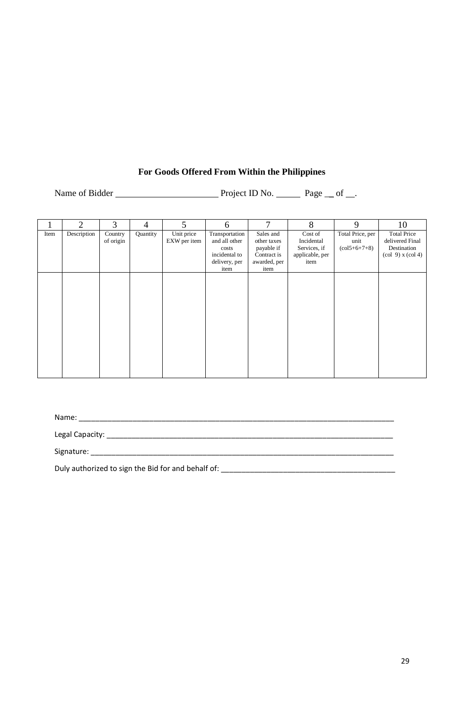## **For Goods Offered From Within the Philippines**

Name of Bidder Project ID No. Page \_\_ of \_\_.

|      | $\mathcal{D}_{\mathcal{A}}$ | 3         | $\overline{4}$ | 5            | 6              | 7            | 8               | 9                                 | 10                                                          |
|------|-----------------------------|-----------|----------------|--------------|----------------|--------------|-----------------|-----------------------------------|-------------------------------------------------------------|
| Item | Description                 | Country   | Quantity       | Unit price   | Transportation | Sales and    | Cost of         | Total Price, per                  | <b>Total Price</b>                                          |
|      |                             | of origin |                | EXW per item | and all other  | other taxes  | Incidental      | unit                              | delivered Final                                             |
|      |                             |           |                |              | costs          | payable if   | Services, if    | $\left(\frac{15+6+7+8}{2}\right)$ | Destination                                                 |
|      |                             |           |                |              | incidental to  | Contract is  | applicable, per |                                   | $\left(\text{col } 9\right)$ x $\left(\text{col } 4\right)$ |
|      |                             |           |                |              | delivery, per  | awarded, per | item            |                                   |                                                             |
|      |                             |           |                |              | item           | item         |                 |                                   |                                                             |
|      |                             |           |                |              |                |              |                 |                                   |                                                             |
|      |                             |           |                |              |                |              |                 |                                   |                                                             |
|      |                             |           |                |              |                |              |                 |                                   |                                                             |
|      |                             |           |                |              |                |              |                 |                                   |                                                             |
|      |                             |           |                |              |                |              |                 |                                   |                                                             |
|      |                             |           |                |              |                |              |                 |                                   |                                                             |
|      |                             |           |                |              |                |              |                 |                                   |                                                             |
|      |                             |           |                |              |                |              |                 |                                   |                                                             |
|      |                             |           |                |              |                |              |                 |                                   |                                                             |
|      |                             |           |                |              |                |              |                 |                                   |                                                             |
|      |                             |           |                |              |                |              |                 |                                   |                                                             |
|      |                             |           |                |              |                |              |                 |                                   |                                                             |
|      |                             |           |                |              |                |              |                 |                                   |                                                             |
|      |                             |           |                |              |                |              |                 |                                   |                                                             |

Name: \_\_\_\_\_\_\_\_\_\_\_\_\_\_\_\_\_\_\_\_\_\_\_\_\_\_\_\_\_\_\_\_\_\_\_\_\_\_\_\_\_\_\_\_\_\_\_\_\_\_\_\_\_\_\_\_\_\_\_\_\_\_\_\_\_\_\_\_\_\_\_\_\_\_\_\_

Legal Capacity: \_\_\_\_\_\_\_\_\_\_\_\_\_\_\_\_\_\_\_\_\_\_\_\_\_\_\_\_\_\_\_\_\_\_\_\_\_\_\_\_\_\_\_\_\_\_\_\_\_\_\_\_\_\_\_\_\_\_\_\_\_\_\_\_\_\_\_\_\_

Signature: \_\_\_\_\_\_\_\_\_\_\_\_\_\_\_\_\_\_\_\_\_\_\_\_\_\_\_\_\_\_\_\_\_\_\_\_\_\_\_\_\_\_\_\_\_\_\_\_\_\_\_\_\_\_\_\_\_\_\_\_\_\_\_\_\_\_\_\_\_\_\_\_\_

Duly authorized to sign the Bid for and behalf of: \_\_\_\_\_\_\_\_\_\_\_\_\_\_\_\_\_\_\_\_\_\_\_\_\_\_\_\_\_\_\_\_\_\_\_\_\_\_\_\_\_\_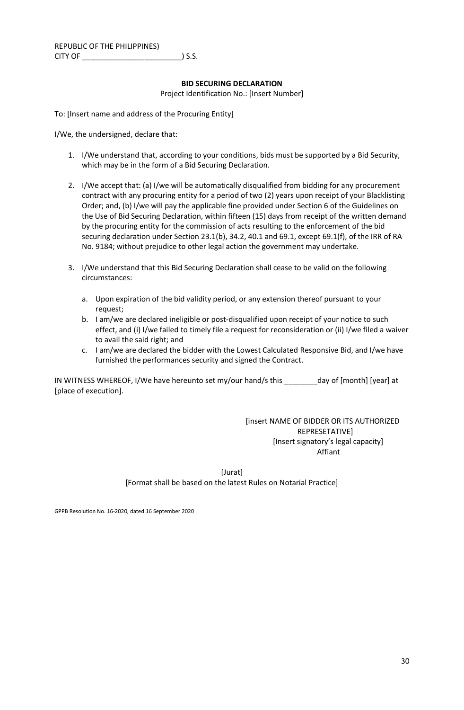#### **BID SECURING DECLARATION** Project Identification No.: [Insert Number]

To: [Insert name and address of the Procuring Entity]

I/We, the undersigned, declare that:

- 1. I/We understand that, according to your conditions, bids must be supported by a Bid Security, which may be in the form of a Bid Securing Declaration.
- 2. I/We accept that: (a) I/we will be automatically disqualified from bidding for any procurement contract with any procuring entity for a period of two (2) years upon receipt of your Blacklisting Order; and, (b) I/we will pay the applicable fine provided under Section 6 of the Guidelines on the Use of Bid Securing Declaration, within fifteen (15) days from receipt of the written demand by the procuring entity for the commission of acts resulting to the enforcement of the bid securing declaration under Section 23.1(b), 34.2, 40.1 and 69.1, except 69.1(f), of the IRR of RA No. 9184; without prejudice to other legal action the government may undertake.
- 3. I/We understand that this Bid Securing Declaration shall cease to be valid on the following circumstances:
	- a. Upon expiration of the bid validity period, or any extension thereof pursuant to your request;
	- b. I am/we are declared ineligible or post-disqualified upon receipt of your notice to such effect, and (i) I/we failed to timely file a request for reconsideration or (ii) I/we filed a waiver to avail the said right; and
	- c. I am/we are declared the bidder with the Lowest Calculated Responsive Bid, and I/we have furnished the performances security and signed the Contract.

IN WITNESS WHEREOF, I/We have hereunto set my/our hand/s this day of [month] [year] at [place of execution].

> [insert NAME OF BIDDER OR ITS AUTHORIZED REPRESETATIVE] [Insert signatory's legal capacity] Affiant

[Jurat] [Format shall be based on the latest Rules on Notarial Practice]

GPPB Resolution No. 16-2020, dated 16 September 2020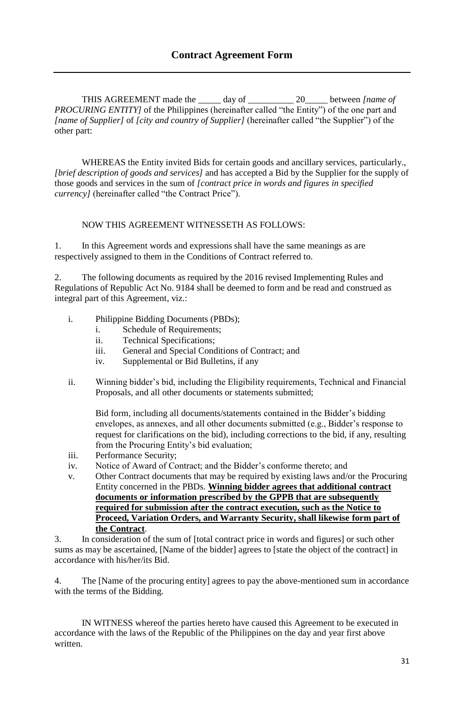THIS AGREEMENT made the \_\_\_\_\_ day of \_\_\_\_\_\_\_\_\_\_ 20\_\_\_\_\_ between *[name of PROCURING ENTITY* of the Philippines (hereinafter called "the Entity") of the one part and *[name of Supplier]* of *[city and country of Supplier]* (hereinafter called "the Supplier") of the other part:

WHEREAS the Entity invited Bids for certain goods and ancillary services, particularly., *[brief description of goods and services]* and has accepted a Bid by the Supplier for the supply of those goods and services in the sum of *[contract price in words and figures in specified currency]* (hereinafter called "the Contract Price").

## NOW THIS AGREEMENT WITNESSETH AS FOLLOWS:

1. In this Agreement words and expressions shall have the same meanings as are respectively assigned to them in the Conditions of Contract referred to.

2. The following documents as required by the 2016 revised Implementing Rules and Regulations of Republic Act No. 9184 shall be deemed to form and be read and construed as integral part of this Agreement, viz.:

- i. Philippine Bidding Documents (PBDs);
	- i. Schedule of Requirements;
	- ii. Technical Specifications;
	- iii. General and Special Conditions of Contract; and
	- iv. Supplemental or Bid Bulletins, if any
- ii. Winning bidder's bid, including the Eligibility requirements, Technical and Financial Proposals, and all other documents or statements submitted;

Bid form, including all documents/statements contained in the Bidder's bidding envelopes, as annexes, and all other documents submitted (e.g., Bidder's response to request for clarifications on the bid), including corrections to the bid, if any, resulting from the Procuring Entity's bid evaluation;

- iii. Performance Security;
- iv. Notice of Award of Contract; and the Bidder's conforme thereto; and
- v. Other Contract documents that may be required by existing laws and/or the Procuring Entity concerned in the PBDs. **Winning bidder agrees that additional contract documents or information prescribed by the GPPB that are subsequently required for submission after the contract execution, such as the Notice to Proceed, Variation Orders, and Warranty Security, shall likewise form part of the Contract**.

3. In consideration of the sum of [total contract price in words and figures] or such other sums as may be ascertained, [Name of the bidder] agrees to [state the object of the contract] in accordance with his/her/its Bid.

4. The [Name of the procuring entity] agrees to pay the above-mentioned sum in accordance with the terms of the Bidding.

IN WITNESS whereof the parties hereto have caused this Agreement to be executed in accordance with the laws of the Republic of the Philippines on the day and year first above written.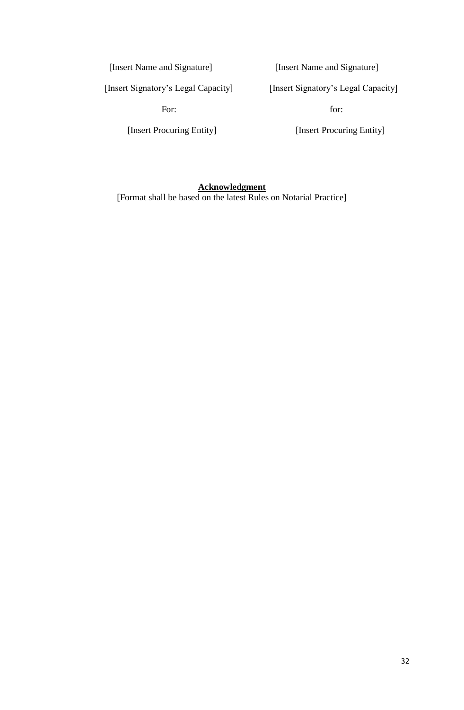[Insert Name and Signature] [Insert Name and Signature]

[Insert Signatory's Legal Capacity] [Insert Signatory's Legal Capacity]

For: for:

[Insert Procuring Entity] [Insert Procuring Entity]

## **Acknowledgment**

[Format shall be based on the latest Rules on Notarial Practice]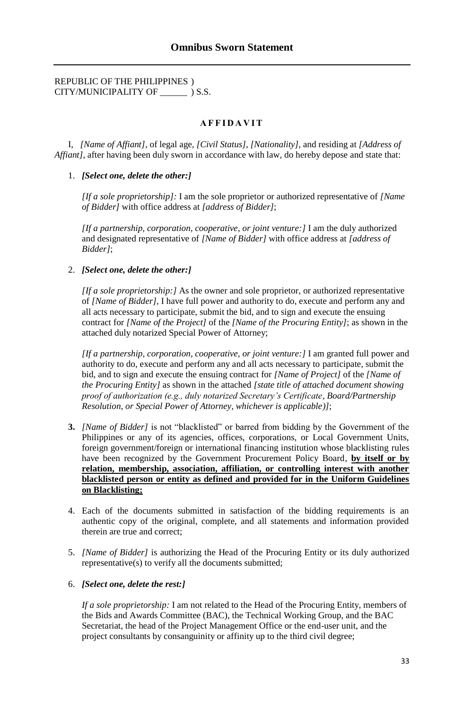## REPUBLIC OF THE PHILIPPINES ) CITY/MUNICIPALITY OF \_\_\_\_\_\_ ) S.S.

### **A F F I D A V I T**

I, *[Name of Affiant]*, of legal age, *[Civil Status]*, *[Nationality]*, and residing at *[Address of Affiant]*, after having been duly sworn in accordance with law, do hereby depose and state that:

#### 1. *[Select one, delete the other:]*

*[If a sole proprietorship]:* I am the sole proprietor or authorized representative of *[Name of Bidder]* with office address at *[address of Bidder]*;

*[If a partnership, corporation, cooperative, or joint venture:]* I am the duly authorized and designated representative of *[Name of Bidder]* with office address at *[address of Bidder]*;

#### 2. *[Select one, delete the other:]*

*[If a sole proprietorship:]* As the owner and sole proprietor, or authorized representative of *[Name of Bidder]*, I have full power and authority to do, execute and perform any and all acts necessary to participate, submit the bid, and to sign and execute the ensuing contract for *[Name of the Project]* of the *[Name of the Procuring Entity]*; as shown in the attached duly notarized Special Power of Attorney;

*[If a partnership, corporation, cooperative, or joint venture:]* I am granted full power and authority to do, execute and perform any and all acts necessary to participate, submit the bid, and to sign and execute the ensuing contract for *[Name of Project]* of the *[Name of the Procuring Entity]* as shown in the attached *[state title of attached document showing proof of authorization (e.g., duly notarized Secretary's Certificate, Board/Partnership Resolution, or Special Power of Attorney, whichever is applicable)]*;

- **3.** *[Name of Bidder]* is not "blacklisted" or barred from bidding by the Government of the Philippines or any of its agencies, offices, corporations, or Local Government Units, foreign government/foreign or international financing institution whose blacklisting rules have been recognized by the Government Procurement Policy Board, **by itself or by relation, membership, association, affiliation, or controlling interest with another blacklisted person or entity as defined and provided for in the Uniform Guidelines on Blacklisting;**
- 4. Each of the documents submitted in satisfaction of the bidding requirements is an authentic copy of the original, complete, and all statements and information provided therein are true and correct;
- 5. *[Name of Bidder]* is authorizing the Head of the Procuring Entity or its duly authorized representative(s) to verify all the documents submitted;

#### 6. *[Select one, delete the rest:]*

*If a sole proprietorship:* I am not related to the Head of the Procuring Entity, members of the Bids and Awards Committee (BAC), the Technical Working Group, and the BAC Secretariat, the head of the Project Management Office or the end-user unit, and the project consultants by consanguinity or affinity up to the third civil degree;